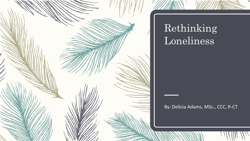

## Rethinking Loneliness

By: Delicia Adams, MSc., CCC, R-CT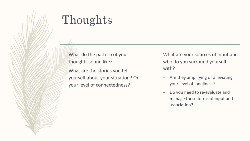# Thoughts

- What do the pattern of your thoughts sound like?
- What are the stories you tell yourself about your situation? Or your level of connectedness?
- What are your sources of input and who do you surround yourself with?
	- Are they amplifying or alleviating your level of loneliness?
	- Do you need to re-evaluate and manage these forms of input and association?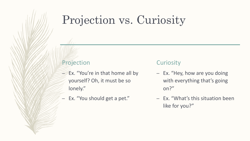## Projection vs. Curiosity

### Projection

- Ex. "You're in that home all by yourself? Oh, it must be so lonely."
- Ex. "You should get a pet."

#### **Curiosity**

- Ex. "Hey, how are you doing with everything that's going on?"
- Ex. "What's this situation been like for you?"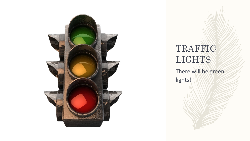

TRAFFIC LIGHTS There will be green lights!